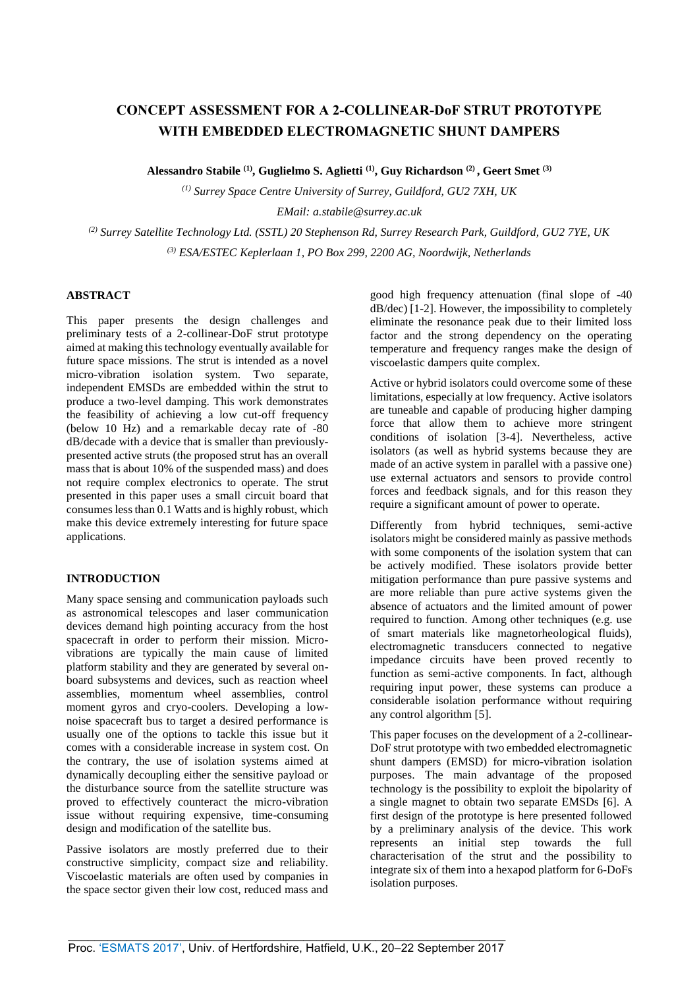# **CONCEPT ASSESSMENT FOR A 2-COLLINEAR-DoF STRUT PROTOTYPE WITH EMBEDDED ELECTROMAGNETIC SHUNT DAMPERS**

**Alessandro Stabile (1), Guglielmo S. Aglietti (1), Guy Richardson (2) , Geert Smet (3)**

*(1) Surrey Space Centre University of Surrey, Guildford, GU2 7XH, UK EMail: a.stabile@surrey.ac.uk*

*(2) Surrey Satellite Technology Ltd. (SSTL) 20 Stephenson Rd, Surrey Research Park, Guildford, GU2 7YE, UK (3) ESA/ESTEC Keplerlaan 1, PO Box 299, 2200 AG, Noordwijk, Netherlands*

### **ABSTRACT**

This paper presents the design challenges and preliminary tests of a 2-collinear-DoF strut prototype aimed at making this technology eventually available for future space missions. The strut is intended as a novel micro-vibration isolation system. Two separate, independent EMSDs are embedded within the strut to produce a two-level damping. This work demonstrates the feasibility of achieving a low cut-off frequency (below 10 Hz) and a remarkable decay rate of -80 dB/decade with a device that is smaller than previouslypresented active struts (the proposed strut has an overall mass that is about 10% of the suspended mass) and does not require complex electronics to operate. The strut presented in this paper uses a small circuit board that consumes less than 0.1 Watts and is highly robust, which make this device extremely interesting for future space applications.

## **INTRODUCTION**

Many space sensing and communication payloads such as astronomical telescopes and laser communication devices demand high pointing accuracy from the host spacecraft in order to perform their mission. Microvibrations are typically the main cause of limited platform stability and they are generated by several onboard subsystems and devices, such as reaction wheel assemblies, momentum wheel assemblies, control moment gyros and cryo-coolers. Developing a lownoise spacecraft bus to target a desired performance is usually one of the options to tackle this issue but it comes with a considerable increase in system cost. On the contrary, the use of isolation systems aimed at dynamically decoupling either the sensitive payload or the disturbance source from the satellite structure was proved to effectively counteract the micro-vibration issue without requiring expensive, time-consuming design and modification of the satellite bus.

Passive isolators are mostly preferred due to their constructive simplicity, compact size and reliability. Viscoelastic materials are often used by companies in the space sector given their low cost, reduced mass and

good high frequency attenuation (final slope of -40 dB/dec) [1-2]. However, the impossibility to completely eliminate the resonance peak due to their limited loss factor and the strong dependency on the operating temperature and frequency ranges make the design of viscoelastic dampers quite complex.

Active or hybrid isolators could overcome some of these limitations, especially at low frequency. Active isolators are tuneable and capable of producing higher damping force that allow them to achieve more stringent conditions of isolation [3-4]. Nevertheless, active isolators (as well as hybrid systems because they are made of an active system in parallel with a passive one) use external actuators and sensors to provide control forces and feedback signals, and for this reason they require a significant amount of power to operate.

Differently from hybrid techniques, semi-active isolators might be considered mainly as passive methods with some components of the isolation system that can be actively modified. These isolators provide better mitigation performance than pure passive systems and are more reliable than pure active systems given the absence of actuators and the limited amount of power required to function. Among other techniques (e.g. use of smart materials like magnetorheological fluids), electromagnetic transducers connected to negative impedance circuits have been proved recently to function as semi-active components. In fact, although requiring input power, these systems can produce a considerable isolation performance without requiring any control algorithm [5].

This paper focuses on the development of a 2-collinear-DoF strut prototype with two embedded electromagnetic shunt dampers (EMSD) for micro-vibration isolation purposes. The main advantage of the proposed technology is the possibility to exploit the bipolarity of a single magnet to obtain two separate EMSDs [6]. A first design of the prototype is here presented followed by a preliminary analysis of the device. This work represents an initial step towards the full characterisation of the strut and the possibility to integrate six of them into a hexapod platform for 6-DoFs isolation purposes.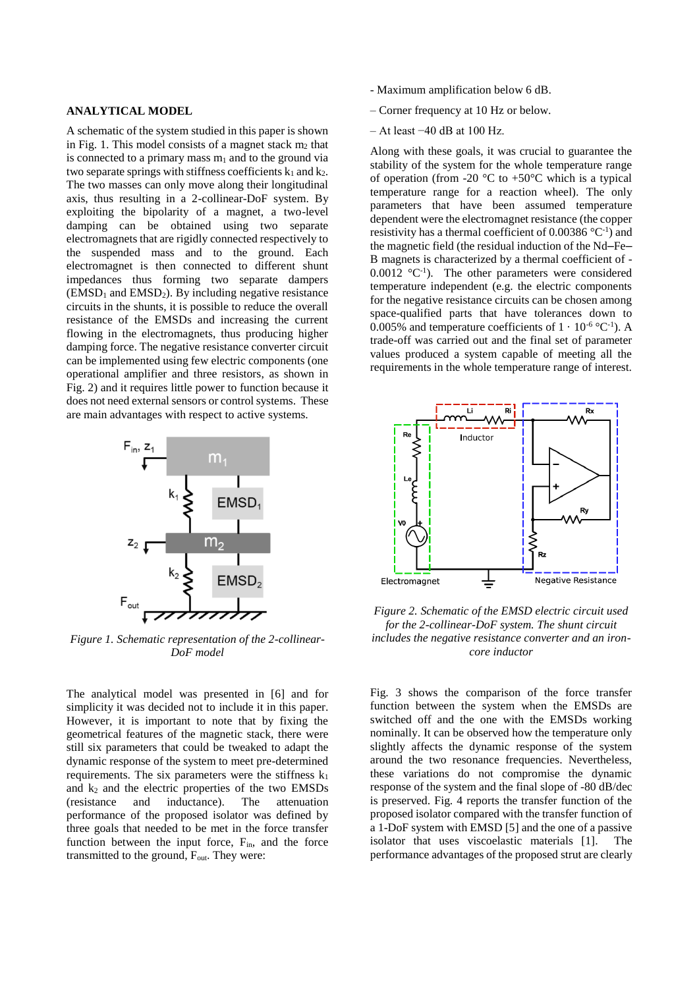### **ANALYTICAL MODEL**

A schematic of the system studied in this paper is shown in Fig. 1. This model consists of a magnet stack  $m_2$  that is connected to a primary mass  $m_1$  and to the ground via two separate springs with stiffness coefficients  $k_1$  and  $k_2$ . The two masses can only move along their longitudinal axis, thus resulting in a 2-collinear-DoF system. By exploiting the bipolarity of a magnet, a two-level damping can be obtained using two separate electromagnets that are rigidly connected respectively to the suspended mass and to the ground. Each electromagnet is then connected to different shunt impedances thus forming two separate dampers  $(EMSD<sub>1</sub> and EMSD<sub>2</sub>)$ . By including negative resistance circuits in the shunts, it is possible to reduce the overall resistance of the EMSDs and increasing the current flowing in the electromagnets, thus producing higher damping force. The negative resistance converter circuit can be implemented using few electric components (one operational amplifier and three resistors, as shown in Fig. 2) and it requires little power to function because it does not need external sensors or control systems. These are main advantages with respect to active systems.



*Figure 1. Schematic representation of the 2-collinear-DoF model*

The analytical model was presented in [6] and for simplicity it was decided not to include it in this paper. However, it is important to note that by fixing the geometrical features of the magnetic stack, there were still six parameters that could be tweaked to adapt the dynamic response of the system to meet pre-determined requirements. The six parameters were the stiffness  $k_1$ and  $k_2$  and the electric properties of the two EMSDs (resistance and inductance). The attenuation performance of the proposed isolator was defined by three goals that needed to be met in the force transfer function between the input force,  $F_{in}$ , and the force transmitted to the ground,  $F_{\text{out}}$ . They were:

- Maximum amplification below 6 dB.
- Corner frequency at 10 Hz or below.
- At least −40 dB at 100 Hz.

Along with these goals, it was crucial to guarantee the stability of the system for the whole temperature range of operation (from -20  $\degree$ C to +50 $\degree$ C which is a typical temperature range for a reaction wheel). The only parameters that have been assumed temperature dependent were the electromagnet resistance (the copper resistivity has a thermal coefficient of  $0.00386$  °C<sup>-1</sup>) and the magnetic field (the residual induction of the Nd–Fe– B magnets is characterized by a thermal coefficient of -  $0.0012 \text{ °C}^{-1}$ ). The other parameters were considered temperature independent (e.g. the electric components for the negative resistance circuits can be chosen among space-qualified parts that have tolerances down to 0.005% and temperature coefficients of  $1 \cdot 10^{-6}$  °C<sup>-1</sup>). A trade-off was carried out and the final set of parameter values produced a system capable of meeting all the requirements in the whole temperature range of interest.



*Figure 2. Schematic of the EMSD electric circuit used for the 2-collinear-DoF system. The shunt circuit includes the negative resistance converter and an ironcore inductor*

Fig. 3 shows the comparison of the force transfer function between the system when the EMSDs are switched off and the one with the EMSDs working nominally. It can be observed how the temperature only slightly affects the dynamic response of the system around the two resonance frequencies. Nevertheless, these variations do not compromise the dynamic response of the system and the final slope of -80 dB/dec is preserved. Fig. 4 reports the transfer function of the proposed isolator compared with the transfer function of a 1-DoF system with EMSD [5] and the one of a passive isolator that uses viscoelastic materials [1]. The performance advantages of the proposed strut are clearly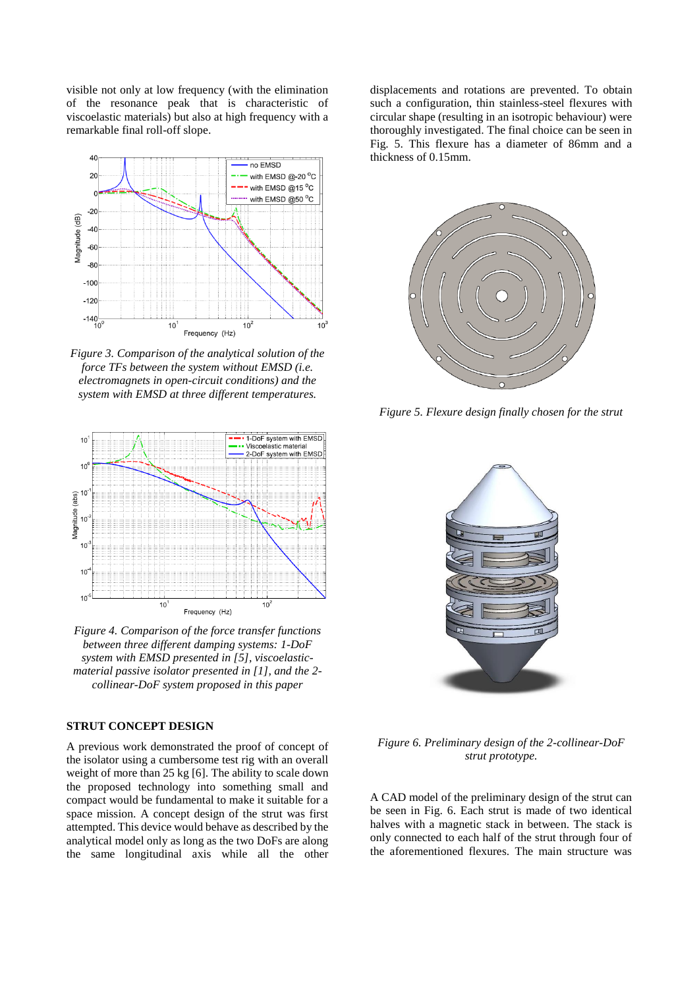visible not only at low frequency (with the elimination of the resonance peak that is characteristic of viscoelastic materials) but also at high frequency with a remarkable final roll-off slope.



*Figure 3. Comparison of the analytical solution of the force TFs between the system without EMSD (i.e. electromagnets in open-circuit conditions) and the system with EMSD at three different temperatures.*



*Figure 4. Comparison of the force transfer functions between three different damping systems: 1-DoF system with EMSD presented in [5], viscoelasticmaterial passive isolator presented in [1], and the 2 collinear-DoF system proposed in this paper*

# **STRUT CONCEPT DESIGN**

A previous work demonstrated the proof of concept of the isolator using a cumbersome test rig with an overall weight of more than 25 kg [6]. The ability to scale down the proposed technology into something small and compact would be fundamental to make it suitable for a space mission. A concept design of the strut was first attempted. This device would behave as described by the analytical model only as long as the two DoFs are along the same longitudinal axis while all the other displacements and rotations are prevented. To obtain such a configuration, thin stainless-steel flexures with circular shape (resulting in an isotropic behaviour) were thoroughly investigated. The final choice can be seen in Fig. 5. This flexure has a diameter of 86mm and a thickness of 0.15mm.



*Figure 5. Flexure design finally chosen for the strut*



*Figure 6. Preliminary design of the 2-collinear-DoF strut prototype.*

A CAD model of the preliminary design of the strut can be seen in Fig. 6. Each strut is made of two identical halves with a magnetic stack in between. The stack is only connected to each half of the strut through four of the aforementioned flexures. The main structure was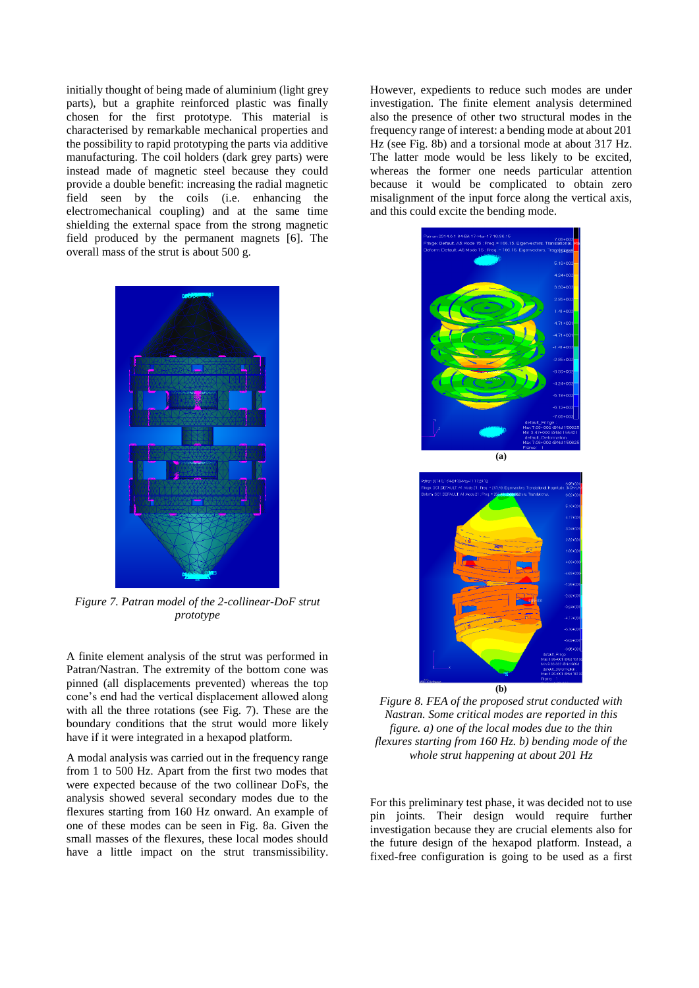initially thought of being made of aluminium (light grey parts), but a graphite reinforced plastic was finally chosen for the first prototype. This material is characterised by remarkable mechanical properties and the possibility to rapid prototyping the parts via additive manufacturing. The coil holders (dark grey parts) were instead made of magnetic steel because they could provide a double benefit: increasing the radial magnetic field seen by the coils (i.e. enhancing the electromechanical coupling) and at the same time shielding the external space from the strong magnetic field produced by the permanent magnets [6]. The overall mass of the strut is about 500 g.

*Figure 7. Patran model of the 2-collinear-DoF strut prototype*

A finite element analysis of the strut was performed in Patran/Nastran. The extremity of the bottom cone was pinned (all displacements prevented) whereas the top cone's end had the vertical displacement allowed along with all the three rotations (see Fig. 7). These are the boundary conditions that the strut would more likely have if it were integrated in a hexapod platform.

A modal analysis was carried out in the frequency range from 1 to 500 Hz. Apart from the first two modes that were expected because of the two collinear DoFs, the analysis showed several secondary modes due to the flexures starting from 160 Hz onward. An example of one of these modes can be seen in Fig. 8a. Given the small masses of the flexures, these local modes should have a little impact on the strut transmissibility.

However, expedients to reduce such modes are under investigation. The finite element analysis determined also the presence of other two structural modes in the frequency range of interest: a bending mode at about 201 Hz (see Fig. 8b) and a torsional mode at about 317 Hz. The latter mode would be less likely to be excited, whereas the former one needs particular attention because it would be complicated to obtain zero misalignment of the input force along the vertical axis, and this could excite the bending mode.



**(b)** *Figure 8. FEA of the proposed strut conducted with* 

*Nastran. Some critical modes are reported in this figure. a) one of the local modes due to the thin flexures starting from 160 Hz. b) bending mode of the whole strut happening at about 201 Hz*

For this preliminary test phase, it was decided not to use pin joints. Their design would require further investigation because they are crucial elements also for the future design of the hexapod platform. Instead, a fixed-free configuration is going to be used as a first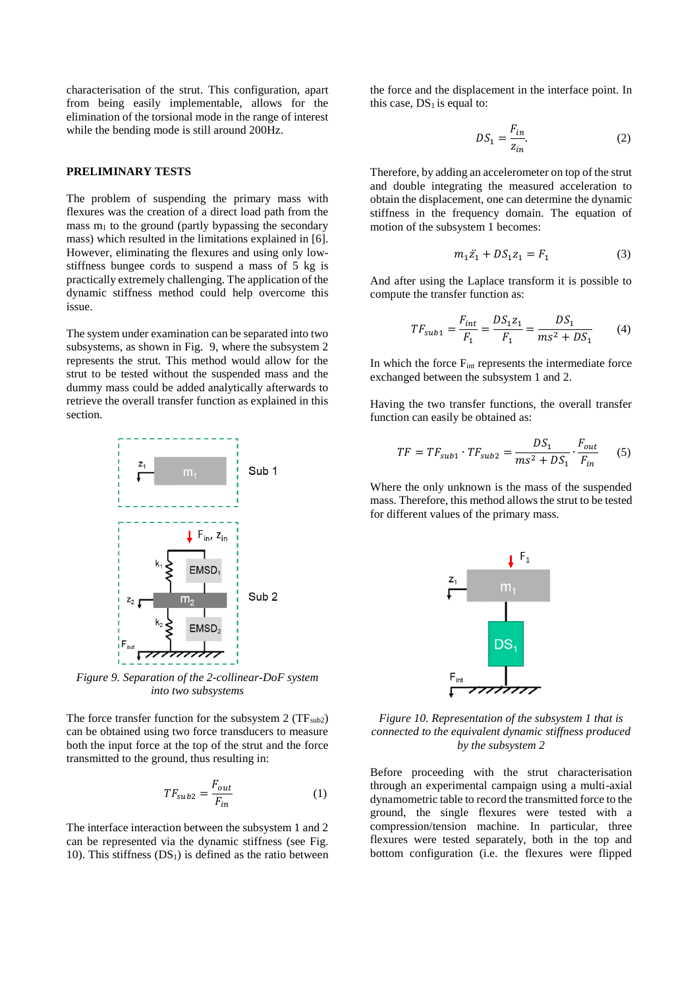characterisation of the strut. This configuration, apart from being easily implementable, allows for the elimination of the torsional mode in the range of interest while the bending mode is still around 200Hz.

### **PRELIMINARY TESTS**

The problem of suspending the primary mass with flexures was the creation of a direct load path from the mass  $m_1$  to the ground (partly bypassing the secondary mass) which resulted in the limitations explained in [6]. However, eliminating the flexures and using only lowstiffness bungee cords to suspend a mass of 5 kg is practically extremely challenging. The application of the dynamic stiffness method could help overcome this issue.

The system under examination can be separated into two subsystems, as shown in Fig. 9, where the subsystem 2 represents the strut. This method would allow for the strut to be tested without the suspended mass and the dummy mass could be added analytically afterwards to retrieve the overall transfer function as explained in this section.



*Figure 9. Separation of the 2-collinear-DoF system into two subsystems*

The force transfer function for the subsystem  $2 (TF_{sub2})$ can be obtained using two force transducers to measure both the input force at the top of the strut and the force transmitted to the ground, thus resulting in:

$$
TF_{sub2} = \frac{F_{out}}{F_{in}}\tag{1}
$$

The interface interaction between the subsystem 1 and 2 can be represented via the dynamic stiffness (see Fig. 10). This stiffness  $(DS_1)$  is defined as the ratio between the force and the displacement in the interface point. In this case,  $DS<sub>1</sub>$  is equal to:

$$
DS_1 = \frac{F_{in}}{z_{in}}.\t(2)
$$

Therefore, by adding an accelerometer on top of the strut and double integrating the measured acceleration to obtain the displacement, one can determine the dynamic stiffness in the frequency domain. The equation of motion of the subsystem 1 becomes:

$$
m_1 \ddot{z_1} + D S_1 z_1 = F_1 \tag{3}
$$

And after using the Laplace transform it is possible to compute the transfer function as:

$$
TF_{sub1} = \frac{F_{int}}{F_1} = \frac{DS_1 z_1}{F_1} = \frac{DS_1}{ms^2 + DS_1}
$$
 (4)

In which the force  $F_{int}$  represents the intermediate force exchanged between the subsystem 1 and 2.

Having the two transfer functions, the overall transfer function can easily be obtained as:

$$
TF = TF_{sub1} \cdot TF_{sub2} = \frac{DS_1}{ms^2 + DS_1} \cdot \frac{F_{out}}{F_{in}} \tag{5}
$$

Where the only unknown is the mass of the suspended mass. Therefore, this method allows the strut to be tested for different values of the primary mass.



*Figure 10. Representation of the subsystem 1 that is connected to the equivalent dynamic stiffness produced by the subsystem 2*

Before proceeding with the strut characterisation through an experimental campaign using a multi-axial dynamometric table to record the transmitted force to the ground, the single flexures were tested with a compression/tension machine. In particular, three flexures were tested separately, both in the top and bottom configuration (i.e. the flexures were flipped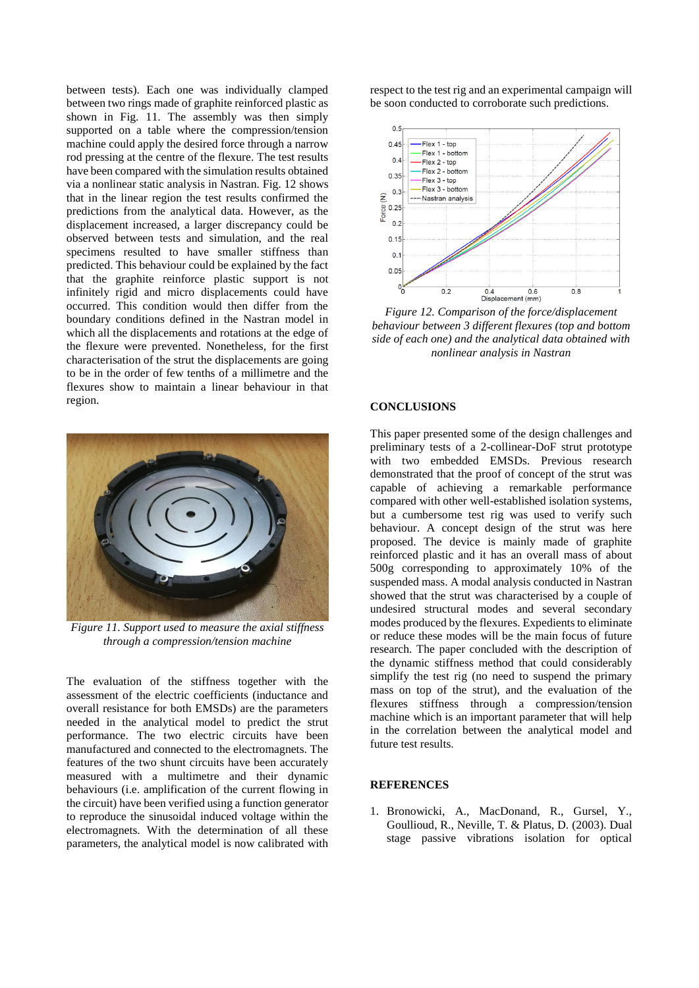between tests). Each one was individually clamped between two rings made of graphite reinforced plastic as shown in Fig. 11. The assembly was then simply supported on a table where the compression/tension machine could apply the desired force through a narrow rod pressing at the centre of the flexure. The test results have been compared with the simulation results obtained via a nonlinear static analysis in Nastran. Fig. 12 shows that in the linear region the test results confirmed the predictions from the analytical data. However, as the displacement increased, a larger discrepancy could be observed between tests and simulation, and the real specimens resulted to have smaller stiffness than predicted. This behaviour could be explained by the fact that the graphite reinforce plastic support is not infinitely rigid and micro displacements could have occurred. This condition would then differ from the boundary conditions defined in the Nastran model in which all the displacements and rotations at the edge of the flexure were prevented. Nonetheless, for the first characterisation of the strut the displacements are going to be in the order of few tenths of a millimetre and the flexures show to maintain a linear behaviour in that region.



*Figure 11. Support used to measure the axial stiffness through a compression/tension machine*

The evaluation of the stiffness together with the assessment of the electric coefficients (inductance and overall resistance for both EMSDs) are the parameters needed in the analytical model to predict the strut performance. The two electric circuits have been manufactured and connected to the electromagnets. The features of the two shunt circuits have been accurately measured with a multimetre and their dynamic behaviours (i.e. amplification of the current flowing in the circuit) have been verified using a function generator to reproduce the sinusoidal induced voltage within the electromagnets. With the determination of all these parameters, the analytical model is now calibrated with

respect to the test rig and an experimental campaign will be soon conducted to corroborate such predictions.



*Figure 12. Comparison of the force/displacement behaviour between 3 different flexures (top and bottom side of each one) and the analytical data obtained with nonlinear analysis in Nastran*

#### **CONCLUSIONS**

This paper presented some of the design challenges and preliminary tests of a 2-collinear-DoF strut prototype with two embedded EMSDs. Previous research demonstrated that the proof of concept of the strut was capable of achieving a remarkable performance compared with other well-established isolation systems, but a cumbersome test rig was used to verify such behaviour. A concept design of the strut was here proposed. The device is mainly made of graphite reinforced plastic and it has an overall mass of about 500g corresponding to approximately 10% of the suspended mass. A modal analysis conducted in Nastran showed that the strut was characterised by a couple of undesired structural modes and several secondary modes produced by the flexures. Expedients to eliminate or reduce these modes will be the main focus of future research. The paper concluded with the description of the dynamic stiffness method that could considerably simplify the test rig (no need to suspend the primary mass on top of the strut), and the evaluation of the flexures stiffness through a compression/tension machine which is an important parameter that will help in the correlation between the analytical model and future test results.

#### **REFERENCES**

1. Bronowicki, A., MacDonand, R., Gursel, Y., Goullioud, R., Neville, T. & Platus, D. (2003). Dual stage passive vibrations isolation for optical